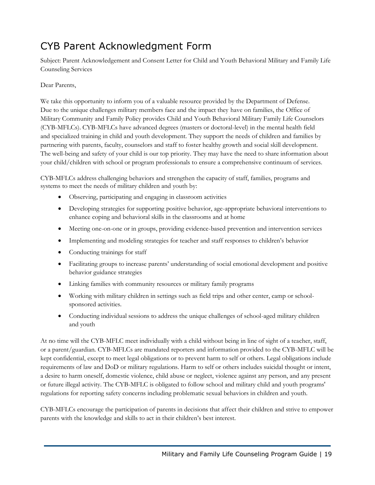## CYB Parent Acknowledgment Form

Subject: Parent Acknowledgement and Consent Letter for Child and Youth Behavioral Military and Family Life Counseling Services

## Dear Parents,

 We take this opportunity to inform you of a valuable resource provided by the Department of Defense. Due to the unique challenges military members face and the impact they have on families, the Office of The well-being and safety of your child is our top priority. They may have the need to share information about Military Community and Family Policy provides Child and Youth Behavioral Military Family Life Counselors (CYB-MFLCs). CYB-MFLCs have advanced degrees (masters or doctoral-level) in the mental health field and specialized training in child and youth development. They support the needs of children and families by partnering with parents, faculty, counselors and staff to foster healthy growth and social skill development.

 your child/children with school or program professionals to ensure a comprehensive continuum of services. CYB-MFLCs address challenging behaviors and strengthen the capacity of staff, families, programs and systems to meet the needs of military children and youth by:

- Observing, participating and engaging in classroom activities
- Developing strategies for supporting positive behavior, age-appropriate behavioral interventions to enhance coping and behavioral skills in the classrooms and at home
- Meeting one-on-one or in groups, providing evidence-based prevention and intervention services
- Implementing and modeling strategies for teacher and staff responses to children's behavior
- Conducting trainings for staff
- Facilitating groups to increase parents' understanding of social emotional development and positive behavior guidance strategies
- Linking families with community resources or military family programs
- Working with military children in settings such as field trips and other center, camp or schoolsponsored activities.
- Conducting individual sessions to address the unique challenges of school-aged military children and youth

At no time will the CYB-MFLC meet individually with a child without being in line of sight of a teacher, staff, or a parent/guardian. CYB-MFLCs are mandated reporters and information provided to the CYB-MFLC will be kept confidential, except to meet legal obligations or to prevent harm to self or others. Legal obligations include requirements of law and DoD or military regulations. Harm to self or others includes suicidal thought or intent, a desire to harm oneself, domestic violence, child abuse or neglect, violence against any person, and any present or future illegal activity. The CYB-MFLC is obligated to follow school and military child and youth programs' regulations for reporting safety concerns including problematic sexual behaviors in children and youth.

CYB-MFLCs encourage the participation of parents in decisions that affect their children and strive to empower parents with the knowledge and skills to act in their children's best interest.